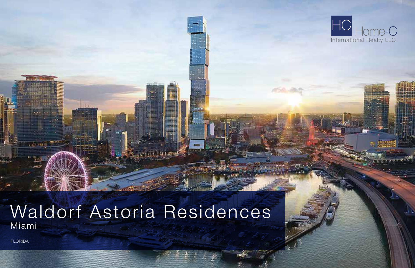Waldorf Astoria Residences Miami

FLORIDA

n G

# HC<br>International Realty LLC.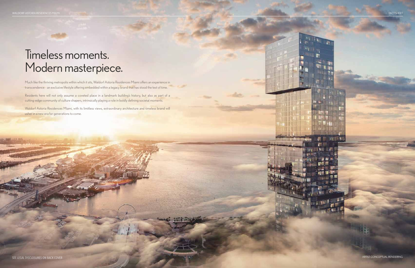Residents here will not only assume a coveted place in a landmark building's history, but also as part of a cutting-edge community of culture shapers, intrinsically playing a role in boldly defining societal moments.

Waldorf Astoria Residences Miami, with its limitless views, extraordinary architecture and timeless brand will usher in a new era for generations to come.

## Timeless moments. Modern masterpiece.

Much like the thriving metropolis within which it sits, Waldorf Astoria Residences Miami offers an experience in transcendence - an exclusive lifestyle offering embedded within a legacy brand that has stood the test of time.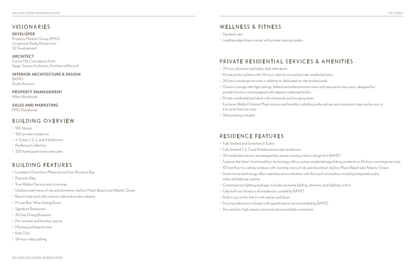#### **VISIONARIES**

Property Markets Group (PMG) Greybrook Realty Partners Inc. S2 Development

#### **DEVELOPER**

#### **ARCHITECT**

Carlos Ott, Conceptual Artist Sieger Suarez Architects, Architect of Record

#### **INTERIOR ARCHITECTURE & DESIGN**  BAMO

- Located in Downtown Miami across from Biscayne Bay
- Peacock Alley
- True Waldorf Service and concierge
- Unobstructed views of city and downtown skyline, Miami Beach and Atlantic Ocean
- Resort-style pool with outdoor café and private cabanas
- Private Bar/ Wine Tasting Room
- Signature Restaurant
- All-Day Dining Brasserie
- Pre-function and function spaces
- Meeting and boardrooms
- Kids Club
- 24-hour valet parking

Studio Ramirez

#### **PROPERTY MANAGEMENT**

Hilton Worldwide

#### **SALES AND MARKETING**

PMG Residential

### BUILDING OVERVIEW

- 100 Stories
- 360 private residences
- Jr. Suites, 1, 2, 3, and 4-bedrooms
- Penthouse Collection
- 205 hotel guestrooms and suites

## BUILDING FEATURES

## WELLNESS & FITNESS

- Signature spa
- Leading-edge fitness center with private training studios

## PRIVATE RESIDENTIAL SERVICES & AMENITIES

- 24-hour doormen and lobby desk attendants
- Private porte cochère with 24-hour valet service and private residential entry
- 24-hour concierge services in addition to dedicated on-site professionals
- Owners Lounge with high ceilings, billiard and entertainment room with panoramic bay views, designed for private functions and equipped with adjacent catering kitchen
- Private residential pool deck with whirlpools and lounging areas
- Exclusive Waldorf Astoria Miami access and benefits, including preferred spa and restaurant rates and access to à la carte hotel services
- Valet parking included

## RESIDENCE FEATURES

- Fully finished and furnished Jr. Suites
- Fully finished 1, 2, 3 and 4-bedroom private residences
- All residential interiors are designed by award-winning interior design firm BAMO
- Features the latest "smart building" technology with a custom residential app, linking residents to 24-hour concierge services
- 10' foot floor-to-ceiling windows with stunning views of city and downtown skyline, Miami Beach and Atlantic Ocean
- Smart home technology offers seamless personalization with the touch of a button, including integrated audio, video and lighting systems
- Contemporary lighting package, includes recessed lighting, dimmers, and lighting control
- Fully built-out closets in all residences curated by BAMO
- Built in top-of-the-line in-unit washer and dryer
- Flooring selections included with specifications recommended by BAMO
- Pre-wired for high-speed communications and data connection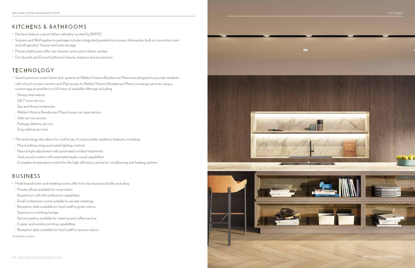

### KITCHENS & BATHROOMS

- Savant premium smart-home tech systems at Waldorf Astoria Residences Miami are designed to provide residents with a touch-screen monitor and iPad access to Waldorf Astoria Residences Miami concierge services using a custom app accessible to a full menu of available offerings including:
- Dining reservations
- 24/7 room service
- Spa and fitness treatments
- Waldorf Astoria Residences Miami house car reservations
- Valet service access
- Package delivery service
- Dog walking services
- This technology also allows for a full array of customizable residence features, including:
- Mood setting using automated lighting controls
- Natural light adjustment with automated window treatments
- Total sound curation with automated audio-visual capabilities
- Complete temperature control for the high-efficiency central air-conditioning and heating systems
- Kitchens feature custom Italian cabinetry curated by BAMO
- Subzero and Wolf appliance package includes integrated paneled microwave, dishwasher, built-in convection oven and refrigerator/ freezer and wine storage
- Primary bathrooms offer rain showers and custom Italian vanities
- Dornbracht and Duravit bathroom fixtures, features and accessories

## TECHNOLOGY

#### BUSINESS

- Hotel boardrooms and meeting rooms offer first-class business facility including:
- Private offices available for reservation
- Boardroom with full conference capabilities
- Small conference rooms suitable for private meetings
- Reception desk available for host's staff to greet visitors
- Spacious co-working lounge
- Service pantry, available for catering and coffee service
- Copier, and wireless printing capabilities
- Reception desk available for host's staff to receive visitors

*\*Available for purchase*